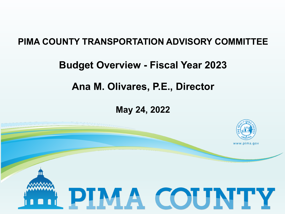#### **PIMA COUNTY TRANSPORTATION ADVISORY COMMITTEE**

#### **Budget Overview - Fiscal Year 2023**

## **Ana M. Olivares, P.E., Director**

#### **May 24, 2022**

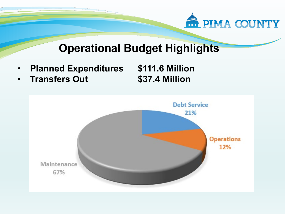

- **Planned Expenditures \$111.6 Million**
- **Transfers Out \$37.4 Million**

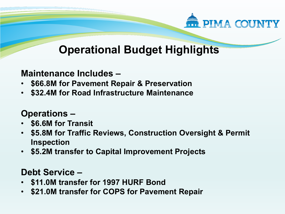

#### **Maintenance Includes –**

- **\$66.8M for Pavement Repair & Preservation**
- **\$32.4M for Road Infrastructure Maintenance**

### **Operations –**

- **\$6.6M for Transit**
- **\$5.8M for Traffic Reviews, Construction Oversight & Permit Inspection**
- **\$5.2M transfer to Capital Improvement Projects**

#### **Debt Service –**

- **\$11.0M transfer for 1997 HURF Bond**
- **\$21.0M transfer for COPS for Pavement Repair**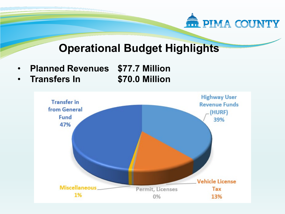

- **Planned Revenues \$77.7 Million**
- **Transfers In \$70.0 Million**

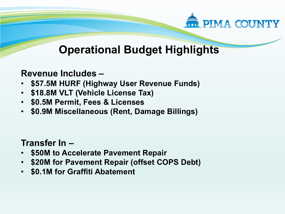

#### **Revenue Includes –**

- **\$57.5M HURF (Highway User Revenue Funds)**
- **\$18.8M VLT (Vehicle License Tax)**
- **\$0.5M Permit, Fees & Licenses**
- **\$0.9M Miscellaneous (Rent, Damage Billings)**

### **Transfer In –**

- **\$50M to Accelerate Pavement Repair**
- **\$20M for Pavement Repair (offset COPS Debt)**
- **\$0.1M for Graffiti Abatement**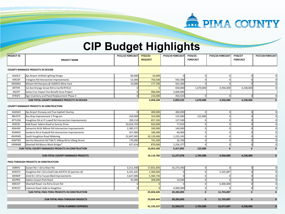

## **CIP Budget Highlights**

| <b>PROJECT ID</b>                                 | <b>PROJECT NAME</b>                                    | FY21/22 FORECAST | <b>FY22/23</b><br><b>REQUEST</b> | FY23/24 FORECAST | FY24/25<br><b>FORECAST</b> | FY25/26 FORECAST | FY26/27<br><b>FORECAST</b> | FY27/28 FORECAST |
|---------------------------------------------------|--------------------------------------------------------|------------------|----------------------------------|------------------|----------------------------|------------------|----------------------------|------------------|
| <b>COUNTY MANAGED PROJECTS IN DESIGN</b>          |                                                        |                  |                                  |                  |                            |                  |                            |                  |
| 4AJOLD                                            | Ajo Airport Airfield Lighting Design                   | 80,000           | 20,000                           |                  |                            |                  | O                          |                  |
| 4IRCAP                                            | Irvington Rd Intersection Improvements                 | 52,000           | 750,500                          | 592,500          |                            |                  | O                          |                  |
| 4MSSRD                                            | Mission Rd Overpass @ ASARCO Mine Haul                 | 10,000           | 177,700                          | 562,300          |                            |                  |                            |                  |
| 4RTFIR                                            | 1st Ave Orange Grove Rd to Ina Rd RTA13                |                  |                                  | 650,000          | 1,670,000                  | 4,936,000        | 4,238,000                  | ŋ                |
| 4SCIFP                                            | Santa Cruz Impact Fee Benefit Area Project             |                  | 900,000                          | 3,600,000        |                            |                  |                            |                  |
| 4TRSP2                                            | Sign Inventory and Panel Replacement Phase II          | n                | 210,000                          | 454,423          |                            |                  |                            | 0                |
|                                                   | <b>SUB-TOTAL COUNTY MANAGED PROJECTS IN DESIGN</b>     |                  | 2,058,200                        | 5,859,223        | 1,670,000                  | 4,936,000        | 4,238,000                  | 0                |
| <b>COUNTY MANAGED PROJECTS IN CONSTRUCTION</b>    |                                                        |                  |                                  |                  |                            |                  |                            |                  |
| 4AJOAO                                            | Ajo Airport Runway and Taxi Asphalt Overlay            |                  | 400,000                          | 400,000          |                            |                  | <sup>O</sup>               |                  |
| 4BUSTX                                            | Bus Stop Improvement 2 Program                         | 250,000          | 163,000                          | 125,000          | 125,000                    |                  | $\Omega$                   |                  |
| 4FTLOW                                            | Houghton Rd at Ft Lowell Rd Intersection Improvements  | 200,218          | 857,282                          | 127,500          |                            |                  | n                          |                  |
| 4KSCSD                                            | Kolb Road: Sabino Road to Sunrise Drive                | 10,620,703       | 620,000                          | 77,033           |                            |                  | n                          |                  |
| 4SAHWI                                            | Sahuarita Rd & Wilmot Rd Intersection Improvements     | 2,385,572        | 100,000                          | 140,000          |                            |                  | $\Omega$                   |                  |
| 4SANRD                                            | Sandario Rd at Rudasill Rd Intersection Improvements   | 357,000          | 180,000                          | 40,000           |                            |                  | n                          |                  |
| 4SHRWD                                            | South Houghton Road Widening                           | 22,697,005       | 10,120,000                       | 1,225,245        |                            |                  | n                          |                  |
| 4SMTRD                                            | Sierrita Mountain Rd TWLTL Hilltop Rd to Viking Street | 179,000          | 742,300                          | 26,700           |                            |                  | n                          |                  |
| 4SRBWB                                            | Silverbell Rd Blanco Wash Bridge*                      | 627,614          | 870,000                          | 3,256,377        |                            |                  | O                          |                  |
| SUB-TOTAL COUNTY MANAGED PROJECTS IN CONSTRUCTION |                                                        |                  | 14,052,582                       | 5,417,855        | 125,000                    | $\mathbf 0$      | $\mathbf{0}$               | $\mathbf 0$      |
|                                                   |                                                        |                  |                                  |                  |                            |                  |                            |                  |
|                                                   | <b>SUB-TOTAL COUNTY MANAGED PROJECTS</b>               |                  | 16,110,782                       | 11,277,078       | 1,795,000                  | 4,936,000        | 4,238,000                  | $\bf{0}$         |
|                                                   | PASS-THROUGH PROJECTS IN CONSTRUCTION                  |                  |                                  |                  |                            |                  |                            |                  |
| 4SRRIV                                            | Sunset Rd: I-10 to River Rd                            | 3,211,440        | 17,831,695                       | 16,273,393       |                            |                  | $\Omega$                   | 0                |
| 4HRSTV                                            | Houghton Rd I-10 to Golf Links Rd RTA 32 (portion of)  | 6,241,425        | 1,300,000                        |                  |                            | 5,335,897        | n                          |                  |
| 4KINOP                                            | 22nd St I-10 to Tucson Blvd Improvements               | 3,627,000        | 5,584,750                        |                  |                            |                  | C                          |                  |
| 4SCPRD                                            | Sabino Canyon Park Road                                | 45,000           | 308,000                          | 10,500           | $\Omega$                   | $\Omega$         | $\overline{0}$             | 0                |
| 4SRCOT                                            | Silverbell Road: Ina Rd to Grant Rd                    |                  |                                  |                  |                            | 6,400,000        | O                          | 0                |
| 4VRCOT                                            | Valencia Road: Kolb to Houghton                        |                  |                                  | 4,000,000        |                            |                  | $\Omega$                   | 0                |
| SUB-TOTAL PASS-THRU PROJECTS IN CONSTRUCTION      |                                                        |                  |                                  | 20,283,893       | $\mathbf 0$                | 11,735,897       | $\mathbf 0$                | 0                |
| <b>SUB-TOTAL PASS-THROUGH PROJECTS</b>            |                                                        |                  | 25,024,445                       | 20,283,893       | $\mathbf 0$                | 11,735,897       | $\mathbf{0}$               | $\bf{0}$         |
| <b>TOTAL PLANNED EXPENSES</b>                     |                                                        |                  | 41,135,227                       | 31,560,971       | 1,795,000                  | 16,671,897       | 4,238,000                  | $\bf{0}$         |